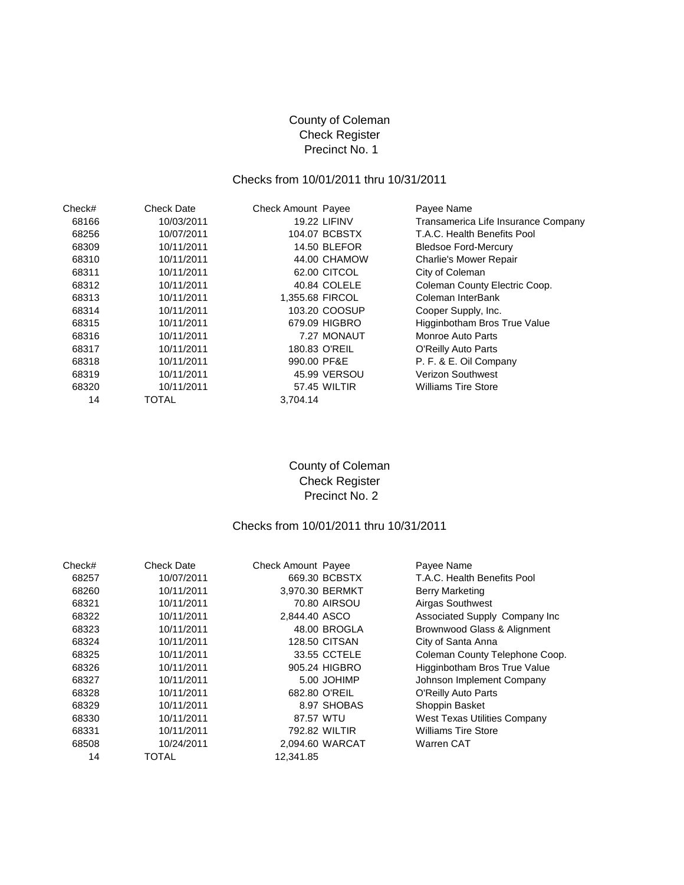## County of Coleman Check Register Precinct No. 1

# Checks from 10/01/2011 thru 10/31/2011

| Check# | <b>Check Date</b> | <b>Check Amount Payee</b> | Payee Name                          |
|--------|-------------------|---------------------------|-------------------------------------|
| 68166  | 10/03/2011        | <b>19.22 LIFINV</b>       | Transamerica Life Insurance Company |
| 68256  | 10/07/2011        | 104.07 BCBSTX             | T.A.C. Health Benefits Pool         |
| 68309  | 10/11/2011        | <b>14.50 BLEFOR</b>       | <b>Bledsoe Ford-Mercury</b>         |
| 68310  | 10/11/2011        | 44.00 CHAMOW              | <b>Charlie's Mower Repair</b>       |
| 68311  | 10/11/2011        | 62.00 CITCOL              | City of Coleman                     |
| 68312  | 10/11/2011        | 40.84 COLELE              | Coleman County Electric Coop.       |
| 68313  | 10/11/2011        | 1,355.68 FIRCOL           | Coleman InterBank                   |
| 68314  | 10/11/2011        | 103.20 COOSUP             | Cooper Supply, Inc.                 |
| 68315  | 10/11/2011        | 679.09 HIGBRO             | Higginbotham Bros True Value        |
| 68316  | 10/11/2011        | 7.27 MONAUT               | Monroe Auto Parts                   |
| 68317  | 10/11/2011        | 180.83 O'REIL             | O'Reilly Auto Parts                 |
| 68318  | 10/11/2011        | 990.00 PF&E               | P. F. & E. Oil Company              |
| 68319  | 10/11/2011        | 45.99 VERSOU              | <b>Verizon Southwest</b>            |
| 68320  | 10/11/2011        | 57.45 WILTIR              | <b>Williams Tire Store</b>          |
| 14     | TOTAL             | 3,704.14                  |                                     |

## County of Coleman Check Register Precinct No. 2

#### Checks from 10/01/2011 thru 10/31/2011

| Check# | <b>Check Date</b> | <b>Check Amount Payee</b> |                      | Payee Name                     |
|--------|-------------------|---------------------------|----------------------|--------------------------------|
| 68257  | 10/07/2011        |                           | 669.30 BCBSTX        | T.A.C. Health Benefits Pool    |
| 68260  | 10/11/2011        |                           | 3,970.30 BERMKT      | Berry Marketing                |
| 68321  | 10/11/2011        |                           | 70.80 AIRSOU         | Airgas Southwest               |
| 68322  | 10/11/2011        | 2,844.40 ASCO             |                      | Associated Supply Company Inc  |
| 68323  | 10/11/2011        |                           | 48.00 BROGLA         | Brownwood Glass & Alignment    |
| 68324  | 10/11/2011        |                           | <b>128.50 CITSAN</b> | City of Santa Anna             |
| 68325  | 10/11/2011        |                           | 33.55 CCTELE         | Coleman County Telephone Coop. |
| 68326  | 10/11/2011        |                           | 905.24 HIGBRO        | Higginbotham Bros True Value   |
| 68327  | 10/11/2011        |                           | 5.00 JOHIMP          | Johnson Implement Company      |
| 68328  | 10/11/2011        |                           | 682.80 O'REIL        | O'Reilly Auto Parts            |
| 68329  | 10/11/2011        |                           | 8.97 SHOBAS          | Shoppin Basket                 |
| 68330  | 10/11/2011        | 87.57 WTU                 |                      | West Texas Utilities Company   |
| 68331  | 10/11/2011        |                           | 792.82 WILTIR        | <b>Williams Tire Store</b>     |
| 68508  | 10/24/2011        |                           | 2,094.60 WARCAT      | Warren CAT                     |
| 14     | TOTAL             | 12.341.85                 |                      |                                |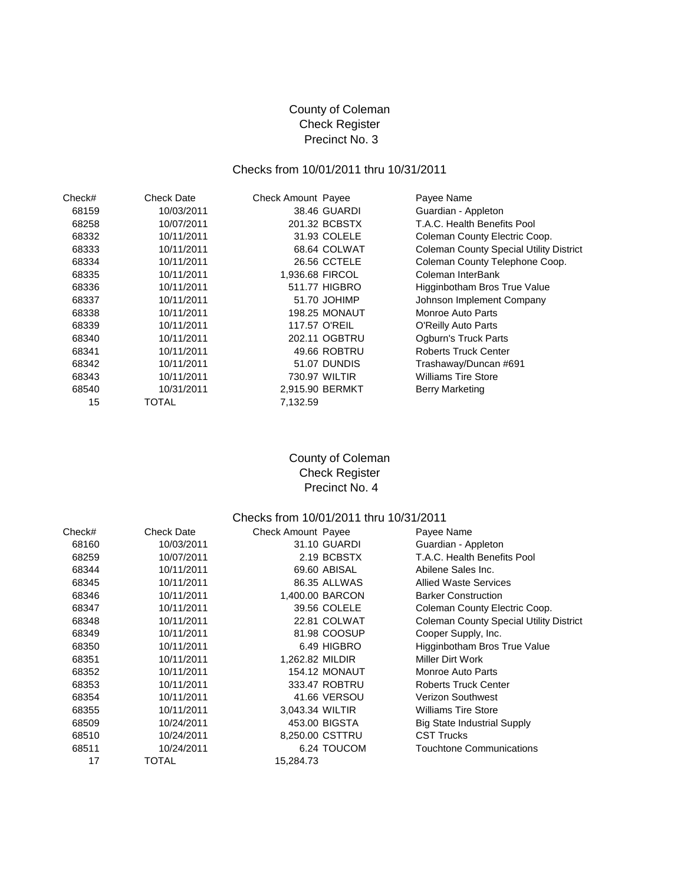# County of Coleman Check Register Precinct No. 3

### Checks from 10/01/2011 thru 10/31/2011

| Check# | Check Date | Check Amount Payee   | Payee Name                                     |
|--------|------------|----------------------|------------------------------------------------|
| 68159  | 10/03/2011 | 38.46 GUARDI         | Guardian - Appleton                            |
| 68258  | 10/07/2011 | 201.32 BCBSTX        | T.A.C. Health Benefits Pool                    |
| 68332  | 10/11/2011 | 31.93 COLELE         | Coleman County Electric Coop.                  |
| 68333  | 10/11/2011 | 68.64 COLWAT         | <b>Coleman County Special Utility District</b> |
| 68334  | 10/11/2011 | 26.56 CCTELE         | Coleman County Telephone Coop.                 |
| 68335  | 10/11/2011 | 1,936.68 FIRCOL      | Coleman InterBank                              |
| 68336  | 10/11/2011 | 511.77 HIGBRO        | Higginbotham Bros True Value                   |
| 68337  | 10/11/2011 | 51.70 JOHIMP         | Johnson Implement Company                      |
| 68338  | 10/11/2011 | <b>198.25 MONAUT</b> | Monroe Auto Parts                              |
| 68339  | 10/11/2011 | 117.57 O'REIL        | O'Reilly Auto Parts                            |
| 68340  | 10/11/2011 | 202.11 OGBTRU        | Ogburn's Truck Parts                           |
| 68341  | 10/11/2011 | 49.66 ROBTRU         | <b>Roberts Truck Center</b>                    |
| 68342  | 10/11/2011 | 51.07 DUNDIS         | Trashaway/Duncan #691                          |
| 68343  | 10/11/2011 | 730.97 WILTIR        | <b>Williams Tire Store</b>                     |
| 68540  | 10/31/2011 | 2,915.90 BERMKT      | <b>Berry Marketing</b>                         |
| 15     | TOTAL      | 7,132.59             |                                                |

## County of Coleman Check Register Precinct No. 4

## Checks from 10/01/2011 thru 10/31/2011

| Check# | <b>Check Date</b> | <b>Check Amount Payee</b> | Payee Name                         |                                                |
|--------|-------------------|---------------------------|------------------------------------|------------------------------------------------|
| 68160  | 10/03/2011        | 31.10 GUARDI              | Guardian - Appleton                |                                                |
| 68259  | 10/07/2011        | 2.19 BCBSTX               | T.A.C. Health Benefits Pool        |                                                |
| 68344  | 10/11/2011        | 69.60 ABISAL              | Abilene Sales Inc.                 |                                                |
| 68345  | 10/11/2011        | 86.35 ALLWAS              | <b>Allied Waste Services</b>       |                                                |
| 68346  | 10/11/2011        | 1,400.00 BARCON           | <b>Barker Construction</b>         |                                                |
| 68347  | 10/11/2011        | 39.56 COLELE              | Coleman County Electric Coop.      |                                                |
| 68348  | 10/11/2011        | 22.81 COLWAT              |                                    | <b>Coleman County Special Utility District</b> |
| 68349  | 10/11/2011        | 81.98 COOSUP              | Cooper Supply, Inc.                |                                                |
| 68350  | 10/11/2011        | 6.49 HIGBRO               | Higginbotham Bros True Value       |                                                |
| 68351  | 10/11/2011        | 1.262.82 MILDIR           | Miller Dirt Work                   |                                                |
| 68352  | 10/11/2011        | <b>154.12 MONAUT</b>      | Monroe Auto Parts                  |                                                |
| 68353  | 10/11/2011        | 333.47 ROBTRU             | <b>Roberts Truck Center</b>        |                                                |
| 68354  | 10/11/2011        | 41.66 VERSOU              | <b>Verizon Southwest</b>           |                                                |
| 68355  | 10/11/2011        | 3,043.34 WILTIR           | <b>Williams Tire Store</b>         |                                                |
| 68509  | 10/24/2011        | 453.00 BIGSTA             | <b>Big State Industrial Supply</b> |                                                |
| 68510  | 10/24/2011        | 8,250.00 CSTTRU           | <b>CST Trucks</b>                  |                                                |
| 68511  | 10/24/2011        | 6.24 TOUCOM               | <b>Touchtone Communications</b>    |                                                |
| 17     | <b>TOTAL</b>      | 15,284.73                 |                                    |                                                |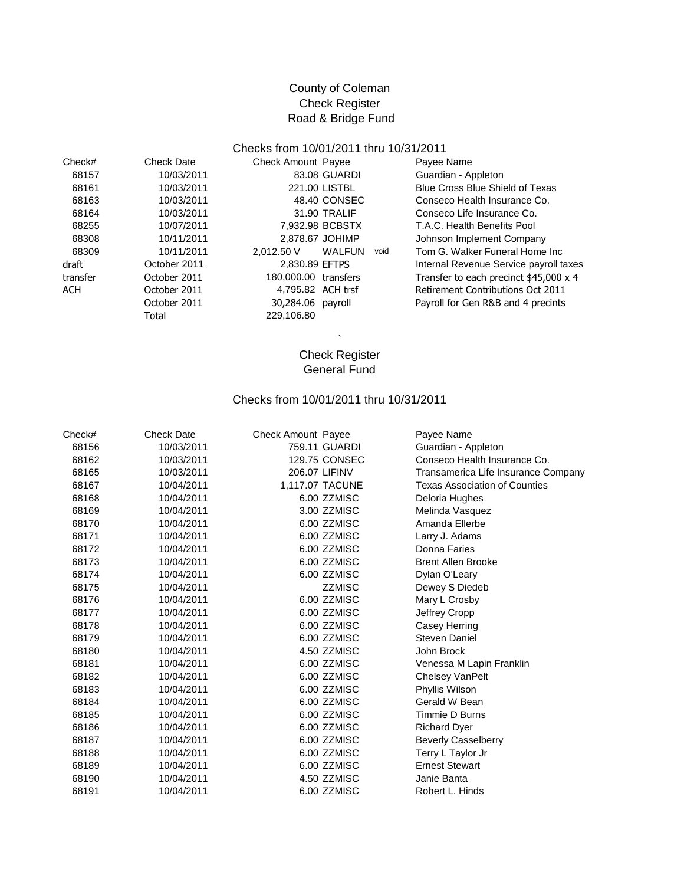## County of Coleman Check Register Road & Bridge Fund

#### Checks from 10/01/2011 thru 10/31/2011

| Check#   | <b>Check Date</b> | Check Amoun |
|----------|-------------------|-------------|
| 68157    | 10/03/2011        | 83.08       |
| 68161    | 10/03/2011        | 221.0       |
| 68163    | 10/03/2011        | 48.40       |
| 68164    | 10/03/2011        | 31.90       |
| 68255    | 10/07/2011        | 7.932.98    |
| 68308    | 10/11/2011        | 2,878.67    |
| 68309    | 10/11/2011        | 2,012.50 V  |
| draft    | October 2011      | 2,830.89    |
| transfer | October 2011      | 180,000.00  |
| ACH      | October 2011      | 4.795.82    |
|          | October 2011      | 30,284.06   |
|          | Total             | 229,106.80  |

|                      | 83.08 GUARDI  |  |
|----------------------|---------------|--|
|                      | 221.00 LISTBL |  |
|                      | 48.40 CONSEC  |  |
|                      | 31.90 TRALIF  |  |
| 7.932.98 BCBSTX      |               |  |
| 2,878.67 JOHIMP      |               |  |
| 2,012.50 V           | <b>WALFUN</b> |  |
| 2.830.89 EFTPS       |               |  |
| 180,000.00 transfers |               |  |
| 4.795.82 ACH trsf    |               |  |
| 30,284.06            | payroll       |  |
| 229.106.80           |               |  |

Check Amount Payee **Check Amount Payee Payee Name** Guardian - Appleton Blue Cross Blue Shield of Texas Conseco Health Insurance Co. Conseco Life Insurance Co. T.A.C. Health Benefits Pool Johnson Implement Company void Tom G. Walker Funeral Home Inc Internal Revenue Service payroll taxes Transfer to each precinct  $$45,000 \times 4$ Retirement Contributions Oct 2011 Payroll for Gen R&B and 4 precints

### Check Register General Fund

 $\ddot{\phantom{0}}$ 

#### Checks from 10/01/2011 thru 10/31/2011

| Check# | <b>Check Date</b> | <b>Check Amount Payee</b> |                 | Payee Name                           |
|--------|-------------------|---------------------------|-----------------|--------------------------------------|
| 68156  | 10/03/2011        |                           | 759.11 GUARDI   | Guardian - Appleton                  |
| 68162  | 10/03/2011        |                           | 129.75 CONSEC   | Conseco Health Insurance Co.         |
| 68165  | 10/03/2011        | 206.07 LIFINV             |                 | Transamerica Life Insurance Company  |
| 68167  | 10/04/2011        |                           | 1,117.07 TACUNE | <b>Texas Association of Counties</b> |
| 68168  | 10/04/2011        |                           | 6.00 ZZMISC     | Deloria Hughes                       |
| 68169  | 10/04/2011        |                           | 3.00 ZZMISC     | Melinda Vasquez                      |
| 68170  | 10/04/2011        |                           | 6.00 ZZMISC     | Amanda Ellerbe                       |
| 68171  | 10/04/2011        |                           | 6.00 ZZMISC     | Larry J. Adams                       |
| 68172  | 10/04/2011        |                           | 6.00 ZZMISC     | Donna Faries                         |
| 68173  | 10/04/2011        |                           | 6.00 ZZMISC     | <b>Brent Allen Brooke</b>            |
|        |                   |                           |                 |                                      |
| 68174  | 10/04/2011        |                           | 6.00 ZZMISC     | Dylan O'Leary                        |
| 68175  | 10/04/2011        |                           | <b>ZZMISC</b>   | Dewey S Diedeb                       |
| 68176  | 10/04/2011        |                           | 6.00 ZZMISC     | Mary L Crosby                        |
| 68177  | 10/04/2011        |                           | 6.00 ZZMISC     | Jeffrey Cropp                        |
| 68178  | 10/04/2011        |                           | 6.00 ZZMISC     | Casey Herring                        |
| 68179  | 10/04/2011        |                           | 6.00 ZZMISC     | <b>Steven Daniel</b>                 |
| 68180  | 10/04/2011        |                           | 4.50 ZZMISC     | John Brock                           |
| 68181  | 10/04/2011        |                           | 6.00 ZZMISC     | Venessa M Lapin Franklin             |
| 68182  | 10/04/2011        |                           | 6.00 ZZMISC     | Chelsey VanPelt                      |
| 68183  | 10/04/2011        |                           | 6.00 ZZMISC     | Phyllis Wilson                       |
| 68184  | 10/04/2011        |                           | 6.00 ZZMISC     | Gerald W Bean                        |
| 68185  | 10/04/2011        |                           | 6.00 ZZMISC     | Timmie D Burns                       |
| 68186  | 10/04/2011        |                           | 6.00 ZZMISC     | <b>Richard Dyer</b>                  |
| 68187  | 10/04/2011        |                           | 6.00 ZZMISC     | <b>Beverly Casselberry</b>           |
| 68188  | 10/04/2011        |                           | 6.00 ZZMISC     | Terry L Taylor Jr                    |
| 68189  | 10/04/2011        |                           | 6.00 ZZMISC     | <b>Ernest Stewart</b>                |
| 68190  | 10/04/2011        |                           | 4.50 ZZMISC     | Janie Banta                          |
| 68191  | 10/04/2011        |                           | 6.00 ZZMISC     | Robert L. Hinds                      |
|        |                   |                           |                 |                                      |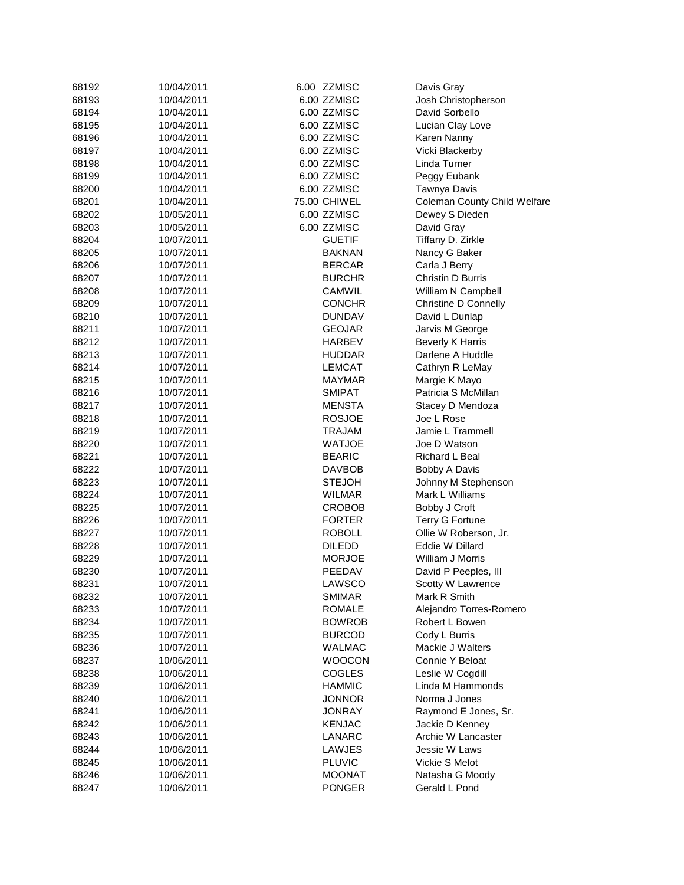| 68192 | 10/04/2011 | 6.00 ZZMISC   | Davis Gray                             |
|-------|------------|---------------|----------------------------------------|
| 68193 | 10/04/2011 | 6.00 ZZMISC   | Josh Christopherson                    |
| 68194 | 10/04/2011 | 6.00 ZZMISC   | David Sorbello                         |
| 68195 | 10/04/2011 | 6.00 ZZMISC   | Lucian Clay Love                       |
| 68196 | 10/04/2011 | 6.00 ZZMISC   | Karen Nanny                            |
| 68197 | 10/04/2011 | 6.00 ZZMISC   | Vicki Blackerby                        |
| 68198 | 10/04/2011 | 6.00 ZZMISC   | Linda Turner                           |
| 68199 | 10/04/2011 | 6.00 ZZMISC   | Peggy Eubank                           |
| 68200 | 10/04/2011 | 6.00 ZZMISC   | Tawnya Davis                           |
| 68201 | 10/04/2011 | 75.00 CHIWEL  | <b>Coleman County Child Welfare</b>    |
| 68202 | 10/05/2011 | 6.00 ZZMISC   | Dewey S Dieden                         |
| 68203 | 10/05/2011 | 6.00 ZZMISC   | David Gray                             |
| 68204 | 10/07/2011 | <b>GUETIF</b> | Tiffany D. Zirkle                      |
| 68205 | 10/07/2011 | <b>BAKNAN</b> | Nancy G Baker                          |
| 68206 | 10/07/2011 | <b>BERCAR</b> | Carla J Berry                          |
| 68207 | 10/07/2011 | <b>BURCHR</b> | Christin D Burris                      |
| 68208 | 10/07/2011 | CAMWIL        | William N Campbell                     |
| 68209 | 10/07/2011 | <b>CONCHR</b> | <b>Christine D Connelly</b>            |
| 68210 | 10/07/2011 | <b>DUNDAV</b> | David L Dunlap                         |
| 68211 | 10/07/2011 | <b>GEOJAR</b> | Jarvis M George                        |
| 68212 | 10/07/2011 | HARBEV        | <b>Beverly K Harris</b>                |
| 68213 | 10/07/2011 | <b>HUDDAR</b> | Darlene A Huddle                       |
| 68214 | 10/07/2011 | LEMCAT        | Cathryn R LeMay                        |
| 68215 | 10/07/2011 | <b>MAYMAR</b> | Margie K Mayo                          |
| 68216 | 10/07/2011 | <b>SMIPAT</b> | Patricia S McMillan                    |
| 68217 | 10/07/2011 | MENSTA        |                                        |
| 68218 | 10/07/2011 | <b>ROSJOE</b> | Stacey D Mendoza<br>Joe L Rose         |
| 68219 | 10/07/2011 | TRAJAM        | Jamie L Trammell                       |
|       |            |               |                                        |
| 68220 | 10/07/2011 | <b>WATJOE</b> | Joe D Watson                           |
| 68221 | 10/07/2011 | <b>BEARIC</b> | Richard L Beal                         |
| 68222 | 10/07/2011 | <b>DAVBOB</b> | Bobby A Davis                          |
| 68223 | 10/07/2011 | <b>STEJOH</b> | Johnny M Stephenson<br>Mark L Williams |
| 68224 | 10/07/2011 | <b>WILMAR</b> |                                        |
| 68225 | 10/07/2011 | <b>CROBOB</b> | Bobby J Croft                          |
| 68226 | 10/07/2011 | <b>FORTER</b> | <b>Terry G Fortune</b>                 |
| 68227 | 10/07/2011 | <b>ROBOLL</b> | Ollie W Roberson, Jr.                  |
| 68228 | 10/07/2011 | <b>DILEDD</b> | Eddie W Dillard                        |
| 68229 | 10/07/2011 | <b>MORJOE</b> | William J Morris                       |
| 68230 | 10/07/2011 | PEEDAV        | David P Peeples, III                   |
| 68231 | 10/07/2011 | LAWSCO        | Scotty W Lawrence                      |
| 68232 | 10/07/2011 | <b>SMIMAR</b> | Mark R Smith                           |
| 68233 | 10/07/2011 | ROMALE        | Alejandro Torres-Romero                |
| 68234 | 10/07/2011 | <b>BOWROB</b> | Robert L Bowen                         |
| 68235 | 10/07/2011 | <b>BURCOD</b> | Cody L Burris                          |
| 68236 | 10/07/2011 | <b>WALMAC</b> | Mackie J Walters                       |
| 68237 | 10/06/2011 | <b>WOOCON</b> | Connie Y Beloat                        |
| 68238 | 10/06/2011 | <b>COGLES</b> | Leslie W Cogdill                       |
| 68239 | 10/06/2011 | <b>HAMMIC</b> | Linda M Hammonds                       |
| 68240 | 10/06/2011 | <b>JONNOR</b> | Norma J Jones                          |
| 68241 | 10/06/2011 | <b>JONRAY</b> | Raymond E Jones, Sr.                   |
| 68242 | 10/06/2011 | <b>KENJAC</b> | Jackie D Kenney                        |
| 68243 | 10/06/2011 | LANARC        | Archie W Lancaster                     |
| 68244 | 10/06/2011 | LAWJES        | Jessie W Laws                          |
| 68245 | 10/06/2011 | <b>PLUVIC</b> | Vickie S Melot                         |
| 68246 | 10/06/2011 | <b>MOONAT</b> | Natasha G Moody                        |
| 68247 | 10/06/2011 | PONGER        | Gerald L Pond                          |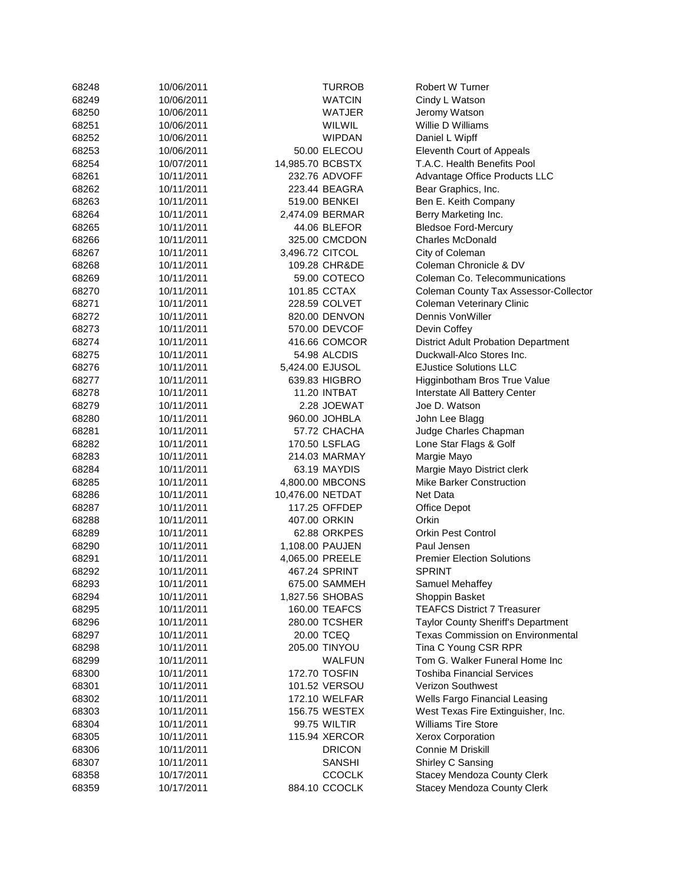| 68248 | 10/06/2011 |                  | TURROB          | <b>Robert W Turner</b>                     |
|-------|------------|------------------|-----------------|--------------------------------------------|
| 68249 | 10/06/2011 |                  | <b>WATCIN</b>   | Cindy L Watson                             |
| 68250 | 10/06/2011 |                  | WATJER          | Jeromy Watson                              |
| 68251 | 10/06/2011 |                  | WILWIL          | Willie D Williams                          |
| 68252 | 10/06/2011 |                  | <b>WIPDAN</b>   | Daniel L Wipff                             |
| 68253 | 10/06/2011 |                  | 50.00 ELECOU    | Eleventh Court of Appeals                  |
| 68254 | 10/07/2011 | 14,985.70 BCBSTX |                 | T.A.C. Health Benefits Pool                |
| 68261 | 10/11/2011 |                  | 232.76 ADVOFF   | Advantage Office Products LLC              |
| 68262 | 10/11/2011 |                  | 223.44 BEAGRA   | Bear Graphics, Inc.                        |
| 68263 | 10/11/2011 |                  | 519.00 BENKEI   | Ben E. Keith Company                       |
| 68264 | 10/11/2011 |                  | 2,474.09 BERMAR | Berry Marketing Inc.                       |
| 68265 | 10/11/2011 |                  | 44.06 BLEFOR    | <b>Bledsoe Ford-Mercury</b>                |
| 68266 | 10/11/2011 |                  | 325.00 CMCDON   | <b>Charles McDonald</b>                    |
| 68267 | 10/11/2011 | 3,496.72 CITCOL  |                 | City of Coleman                            |
| 68268 | 10/11/2011 |                  | 109.28 CHR&DE   | Coleman Chronicle & DV                     |
| 68269 | 10/11/2011 |                  | 59.00 COTECO    | Coleman Co. Telecommunications             |
| 68270 | 10/11/2011 |                  | 101.85 CCTAX    | Coleman County Tax Assessor-Collector      |
| 68271 | 10/11/2011 |                  | 228.59 COLVET   | <b>Coleman Veterinary Clinic</b>           |
|       |            |                  |                 |                                            |
| 68272 | 10/11/2011 |                  | 820.00 DENVON   | Dennis VonWiller                           |
| 68273 | 10/11/2011 |                  | 570.00 DEVCOF   | Devin Coffey                               |
| 68274 | 10/11/2011 |                  | 416.66 COMCOR   | <b>District Adult Probation Department</b> |
| 68275 | 10/11/2011 |                  | 54.98 ALCDIS    | Duckwall-Alco Stores Inc.                  |
| 68276 | 10/11/2011 | 5,424.00 EJUSOL  |                 | <b>EJustice Solutions LLC</b>              |
| 68277 | 10/11/2011 |                  | 639.83 HIGBRO   | Higginbotham Bros True Value               |
| 68278 | 10/11/2011 |                  | 11.20 INTBAT    | Interstate All Battery Center              |
| 68279 | 10/11/2011 |                  | 2.28 JOEWAT     | Joe D. Watson                              |
| 68280 | 10/11/2011 |                  | 960.00 JOHBLA   | John Lee Blagg                             |
| 68281 | 10/11/2011 |                  | 57.72 CHACHA    | Judge Charles Chapman                      |
| 68282 | 10/11/2011 |                  | 170.50 LSFLAG   | Lone Star Flags & Golf                     |
| 68283 | 10/11/2011 |                  | 214.03 MARMAY   | Margie Mayo                                |
| 68284 | 10/11/2011 |                  | 63.19 MAYDIS    | Margie Mayo District clerk                 |
| 68285 | 10/11/2011 |                  | 4,800.00 MBCONS | <b>Mike Barker Construction</b>            |
| 68286 | 10/11/2011 | 10,476.00 NETDAT |                 | Net Data                                   |
| 68287 | 10/11/2011 |                  | 117.25 OFFDEP   | Office Depot                               |
| 68288 | 10/11/2011 |                  | 407.00 ORKIN    | Orkin                                      |
| 68289 | 10/11/2011 |                  | 62.88 ORKPES    | <b>Orkin Pest Control</b>                  |
| 68290 | 10/11/2011 |                  | 1,108.00 PAUJEN | Paul Jensen                                |
| 68291 | 10/11/2011 |                  | 4,065.00 PREELE | <b>Premier Election Solutions</b>          |
| 68292 | 10/11/2011 |                  | 467.24 SPRINT   | <b>SPRINT</b>                              |
| 68293 | 10/11/2011 |                  | 675.00 SAMMEH   | Samuel Mehaffey                            |
| 68294 | 10/11/2011 |                  | 1,827.56 SHOBAS | Shoppin Basket                             |
| 68295 | 10/11/2011 |                  | 160.00 TEAFCS   | <b>TEAFCS District 7 Treasurer</b>         |
| 68296 | 10/11/2011 |                  | 280.00 TCSHER   | Taylor County Sheriff's Department         |
| 68297 | 10/11/2011 |                  | 20.00 TCEQ      | <b>Texas Commission on Environmental</b>   |
| 68298 | 10/11/2011 |                  | 205.00 TINYOU   | Tina C Young CSR RPR                       |
| 68299 | 10/11/2011 |                  | <b>WALFUN</b>   | Tom G. Walker Funeral Home Inc             |
| 68300 | 10/11/2011 |                  | 172.70 TOSFIN   | <b>Toshiba Financial Services</b>          |
| 68301 | 10/11/2011 |                  | 101.52 VERSOU   | Verizon Southwest                          |
| 68302 | 10/11/2011 |                  | 172.10 WELFAR   | Wells Fargo Financial Leasing              |
| 68303 | 10/11/2011 |                  | 156.75 WESTEX   | West Texas Fire Extinguisher, Inc.         |
| 68304 | 10/11/2011 |                  | 99.75 WILTIR    | <b>Williams Tire Store</b>                 |
| 68305 | 10/11/2011 |                  | 115.94 XERCOR   | <b>Xerox Corporation</b>                   |
| 68306 | 10/11/2011 |                  | <b>DRICON</b>   | Connie M Driskill                          |
| 68307 | 10/11/2011 |                  | <b>SANSHI</b>   | Shirley C Sansing                          |
| 68358 | 10/17/2011 |                  | <b>CCOCLK</b>   | <b>Stacey Mendoza County Clerk</b>         |
| 68359 | 10/17/2011 |                  | 884.10 CCOCLK   | <b>Stacey Mendoza County Clerk</b>         |
|       |            |                  |                 |                                            |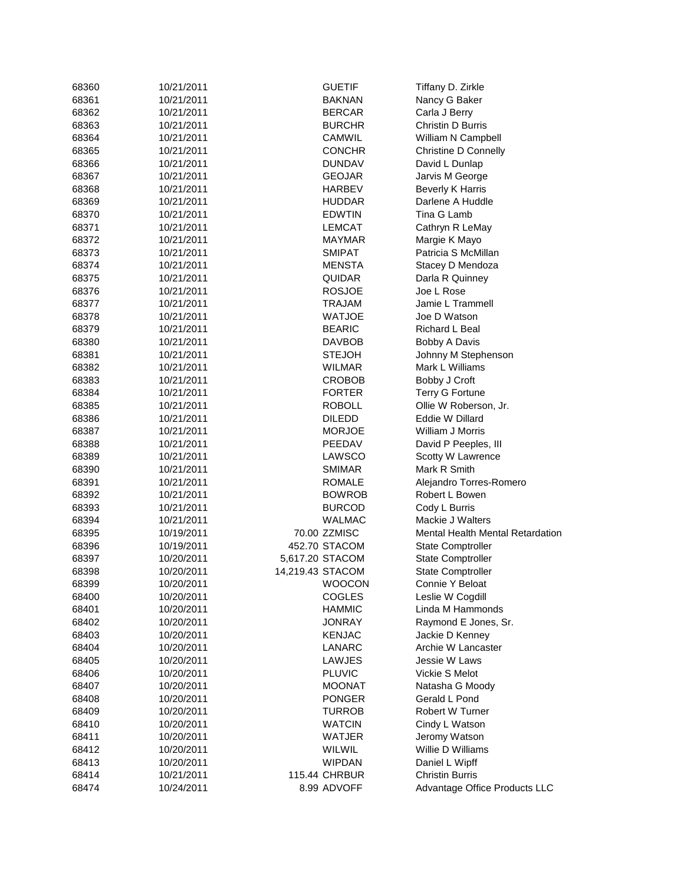| 68360 | 10/21/2011 |                  | <b>GUETIF</b>        | Tiffany D. Zirkle                       |
|-------|------------|------------------|----------------------|-----------------------------------------|
| 68361 | 10/21/2011 |                  | BAKNAN               | Nancy G Baker                           |
| 68362 | 10/21/2011 |                  | <b>BERCAR</b>        | Carla J Berry                           |
| 68363 | 10/21/2011 |                  | <b>BURCHR</b>        | Christin D Burris                       |
| 68364 | 10/21/2011 |                  | CAMWIL               | William N Campbell                      |
| 68365 | 10/21/2011 |                  | CONCHR               | <b>Christine D Connelly</b>             |
| 68366 | 10/21/2011 |                  | <b>DUNDAV</b>        | David L Dunlap                          |
| 68367 | 10/21/2011 |                  | <b>GEOJAR</b>        | Jarvis M George                         |
|       |            |                  |                      |                                         |
| 68368 | 10/21/2011 |                  | HARBEV               | <b>Beverly K Harris</b>                 |
| 68369 | 10/21/2011 |                  | <b>HUDDAR</b>        | Darlene A Huddle                        |
| 68370 | 10/21/2011 |                  | <b>EDWTIN</b>        | Tina G Lamb                             |
| 68371 | 10/21/2011 |                  | LEMCAT               | Cathryn R LeMay                         |
| 68372 | 10/21/2011 |                  | MAYMAR               | Margie K Mayo                           |
| 68373 | 10/21/2011 |                  | <b>SMIPAT</b>        | Patricia S McMillan                     |
| 68374 | 10/21/2011 |                  | MENSTA               | Stacey D Mendoza                        |
| 68375 | 10/21/2011 |                  | QUIDAR               | Darla R Quinney                         |
| 68376 | 10/21/2011 |                  | <b>ROSJOE</b>        | Joe L Rose                              |
| 68377 | 10/21/2011 |                  | TRAJAM               | Jamie L Trammell                        |
| 68378 | 10/21/2011 |                  | WATJOE               | Joe D Watson                            |
| 68379 | 10/21/2011 |                  | <b>BEARIC</b>        | Richard L Beal                          |
| 68380 | 10/21/2011 |                  | <b>DAVBOB</b>        | Bobby A Davis                           |
| 68381 | 10/21/2011 |                  | <b>STEJOH</b>        | Johnny M Stephenson                     |
| 68382 | 10/21/2011 |                  | WILMAR               | Mark L Williams                         |
| 68383 | 10/21/2011 |                  | CROBOB               | Bobby J Croft                           |
| 68384 | 10/21/2011 |                  | <b>FORTER</b>        | <b>Terry G Fortune</b>                  |
| 68385 | 10/21/2011 |                  | <b>ROBOLL</b>        | Ollie W Roberson, Jr.                   |
| 68386 | 10/21/2011 |                  | DILEDD               | Eddie W Dillard                         |
| 68387 | 10/21/2011 |                  | <b>MORJOE</b>        | William J Morris                        |
|       |            |                  | PEEDAV               |                                         |
| 68388 | 10/21/2011 |                  |                      | David P Peeples, III                    |
| 68389 | 10/21/2011 |                  | LAWSCO               | Scotty W Lawrence                       |
| 68390 | 10/21/2011 |                  | <b>SMIMAR</b>        | Mark R Smith                            |
| 68391 | 10/21/2011 |                  | ROMALE               | Alejandro Torres-Romero                 |
| 68392 | 10/21/2011 |                  | <b>BOWROB</b>        | Robert L Bowen                          |
| 68393 | 10/21/2011 |                  | <b>BURCOD</b>        | Cody L Burris                           |
| 68394 | 10/21/2011 |                  | WALMAC               | Mackie J Walters                        |
| 68395 | 10/19/2011 |                  | 70.00 ZZMISC         | <b>Mental Health Mental Retardation</b> |
| 68396 | 10/19/2011 |                  | 452.70 STACOM        | State Comptroller                       |
| 68397 | 10/20/2011 | 5,617.20 STACOM  |                      | <b>State Comptroller</b>                |
| 68398 | 10/20/2011 | 14,219.43 STACOM |                      | <b>State Comptroller</b>                |
| 68399 | 10/20/2011 |                  | WOOCON               | Connie Y Beloat                         |
| 68400 | 10/20/2011 |                  | <b>COGLES</b>        | Leslie W Cogdill                        |
| 68401 | 10/20/2011 |                  | <b>HAMMIC</b>        | Linda M Hammonds                        |
| 68402 | 10/20/2011 |                  | JONRAY               | Raymond E Jones, Sr.                    |
| 68403 | 10/20/2011 |                  | <b>KENJAC</b>        | Jackie D Kenney                         |
| 68404 | 10/20/2011 |                  | LANARC               | Archie W Lancaster                      |
| 68405 | 10/20/2011 |                  | LAWJES               | Jessie W Laws                           |
| 68406 | 10/20/2011 |                  | <b>PLUVIC</b>        | Vickie S Melot                          |
| 68407 | 10/20/2011 |                  | <b>MOONAT</b>        | Natasha G Moody                         |
| 68408 | 10/20/2011 |                  | <b>PONGER</b>        | Gerald L Pond                           |
|       |            |                  |                      | <b>Robert W Turner</b>                  |
| 68409 | 10/20/2011 |                  | <b>TURROB</b>        |                                         |
| 68410 | 10/20/2011 |                  | <b>WATCIN</b>        | Cindy L Watson                          |
| 68411 | 10/20/2011 |                  | WATJER               | Jeromy Watson                           |
| 68412 | 10/20/2011 |                  | <b>WILWIL</b>        | Willie D Williams                       |
| 68413 | 10/20/2011 |                  | <b>WIPDAN</b>        | Daniel L Wipff                          |
| 68414 | 10/21/2011 |                  | <b>115.44 CHRBUR</b> | <b>Christin Burris</b>                  |
| 68474 | 10/24/2011 |                  | 8.99 ADVOFF          | Advantage Office Products LLC           |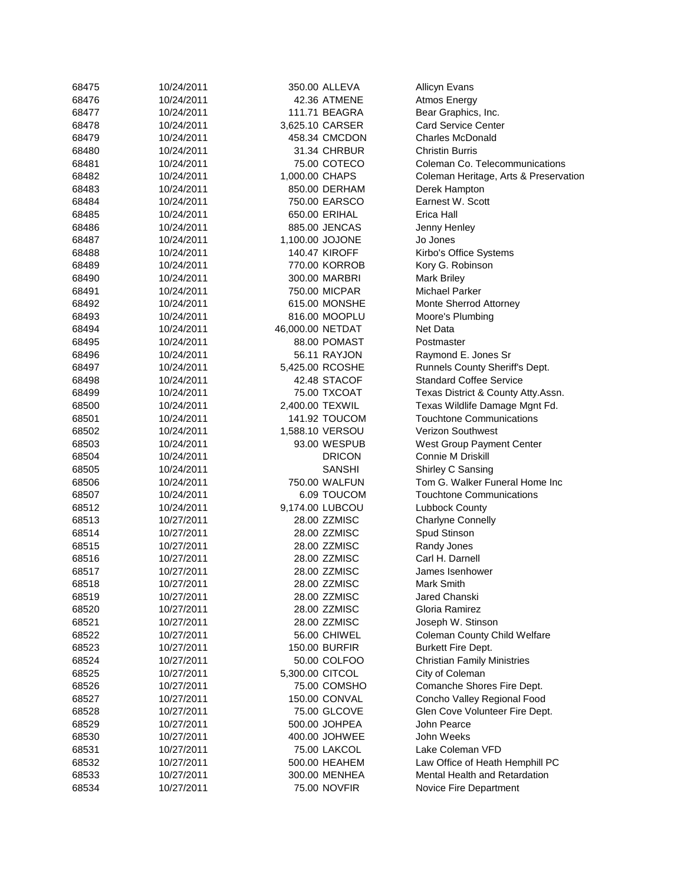| 68475          | 10/24/2011 |                  | 350.00 ALLEVA        | <b>Allicyn Evans</b>                  |
|----------------|------------|------------------|----------------------|---------------------------------------|
| 68476          | 10/24/2011 |                  | 42.36 ATMENE         | Atmos Energy                          |
| 68477          | 10/24/2011 |                  | 111.71 BEAGRA        | Bear Graphics, Inc.                   |
| 68478          | 10/24/2011 | 3,625.10 CARSER  |                      | <b>Card Service Center</b>            |
| 68479          | 10/24/2011 |                  | 458.34 CMCDON        | <b>Charles McDonald</b>               |
| 68480          | 10/24/2011 |                  | 31.34 CHRBUR         | <b>Christin Burris</b>                |
| 68481          | 10/24/2011 |                  | 75.00 COTECO         | Coleman Co. Telecommunications        |
| 68482          | 10/24/2011 | 1,000.00 CHAPS   |                      | Coleman Heritage, Arts & Preservation |
| 68483          | 10/24/2011 |                  | 850.00 DERHAM        | Derek Hampton                         |
| 68484          | 10/24/2011 |                  | 750.00 EARSCO        | Earnest W. Scott                      |
| 68485          | 10/24/2011 | 650.00 ERIHAL    |                      | Erica Hall                            |
| 68486          | 10/24/2011 |                  | 885.00 JENCAS        | Jenny Henley                          |
| 68487          | 10/24/2011 | 1,100.00 JOJONE  |                      | Jo Jones                              |
| 68488          | 10/24/2011 |                  | <b>140.47 KIROFF</b> |                                       |
|                |            |                  |                      | Kirbo's Office Systems                |
| 68489<br>68490 | 10/24/2011 |                  | 770.00 KORROB        | Kory G. Robinson                      |
|                | 10/24/2011 |                  | 300.00 MARBRI        | <b>Mark Briley</b>                    |
| 68491          | 10/24/2011 |                  | 750.00 MICPAR        | <b>Michael Parker</b>                 |
| 68492          | 10/24/2011 |                  | 615.00 MONSHE        | Monte Sherrod Attorney                |
| 68493          | 10/24/2011 |                  | 816.00 MOOPLU        | Moore's Plumbing                      |
| 68494          | 10/24/2011 | 46,000.00 NETDAT |                      | Net Data                              |
| 68495          | 10/24/2011 |                  | 88.00 POMAST         | Postmaster                            |
| 68496          | 10/24/2011 |                  | 56.11 RAYJON         | Raymond E. Jones Sr                   |
| 68497          | 10/24/2011 | 5,425.00 RCOSHE  |                      | Runnels County Sheriff's Dept.        |
| 68498          | 10/24/2011 |                  | 42.48 STACOF         | <b>Standard Coffee Service</b>        |
| 68499          | 10/24/2011 |                  | 75.00 TXCOAT         | Texas District & County Atty.Assn.    |
| 68500          | 10/24/2011 | 2,400.00 TEXWIL  |                      | Texas Wildlife Damage Mgnt Fd.        |
| 68501          | 10/24/2011 |                  | 141.92 TOUCOM        | <b>Touchtone Communications</b>       |
| 68502          | 10/24/2011 | 1,588.10 VERSOU  |                      | Verizon Southwest                     |
| 68503          | 10/24/2011 |                  | 93.00 WESPUB         | West Group Payment Center             |
| 68504          | 10/24/2011 |                  | <b>DRICON</b>        | Connie M Driskill                     |
| 68505          | 10/24/2011 |                  | <b>SANSHI</b>        | Shirley C Sansing                     |
| 68506          | 10/24/2011 |                  | 750.00 WALFUN        | Tom G. Walker Funeral Home Inc        |
| 68507          | 10/24/2011 |                  | 6.09 TOUCOM          | <b>Touchtone Communications</b>       |
| 68512          | 10/24/2011 | 9,174.00 LUBCOU  |                      | <b>Lubbock County</b>                 |
| 68513          | 10/27/2011 |                  | 28.00 ZZMISC         | <b>Charlyne Connelly</b>              |
| 68514          | 10/27/2011 |                  | 28.00 ZZMISC         | Spud Stinson                          |
| 68515          | 10/27/2011 |                  | 28.00 ZZMISC         | Randy Jones                           |
| 68516          | 10/27/2011 |                  | 28.00 ZZMISC         | Carl H. Darnell                       |
| 68517          | 10/27/2011 |                  | 28.00 ZZMISC         | James Isenhower                       |
| 68518          | 10/27/2011 |                  | 28.00 ZZMISC         | Mark Smith                            |
| 68519          | 10/27/2011 |                  | 28.00 ZZMISC         | Jared Chanski                         |
| 68520          | 10/27/2011 |                  | 28.00 ZZMISC         | Gloria Ramirez                        |
| 68521          | 10/27/2011 |                  | 28.00 ZZMISC         | Joseph W. Stinson                     |
| 68522          | 10/27/2011 |                  | 56.00 CHIWEL         | <b>Coleman County Child Welfare</b>   |
| 68523          | 10/27/2011 |                  | 150.00 BURFIR        | <b>Burkett Fire Dept.</b>             |
| 68524          | 10/27/2011 |                  | 50.00 COLFOO         | <b>Christian Family Ministries</b>    |
| 68525          | 10/27/2011 | 5,300.00 CITCOL  |                      | City of Coleman                       |
| 68526          | 10/27/2011 |                  | 75.00 COMSHO         | Comanche Shores Fire Dept.            |
| 68527          | 10/27/2011 |                  | 150.00 CONVAL        | Concho Valley Regional Food           |
| 68528          | 10/27/2011 |                  | 75.00 GLCOVE         | Glen Cove Volunteer Fire Dept.        |
|                |            |                  | 500.00 JOHPEA        | John Pearce                           |
| 68529          | 10/27/2011 |                  |                      | John Weeks                            |
| 68530          | 10/27/2011 |                  | 400.00 JOHWEE        |                                       |
| 68531          | 10/27/2011 |                  | 75.00 LAKCOL         | Lake Coleman VFD                      |
| 68532          | 10/27/2011 |                  | 500.00 HEAHEM        | Law Office of Heath Hemphill PC       |
| 68533          | 10/27/2011 |                  | 300.00 MENHEA        | Mental Health and Retardation         |
| 68534          | 10/27/2011 |                  | 75.00 NOVFIR         | Novice Fire Department                |
|                |            |                  |                      |                                       |